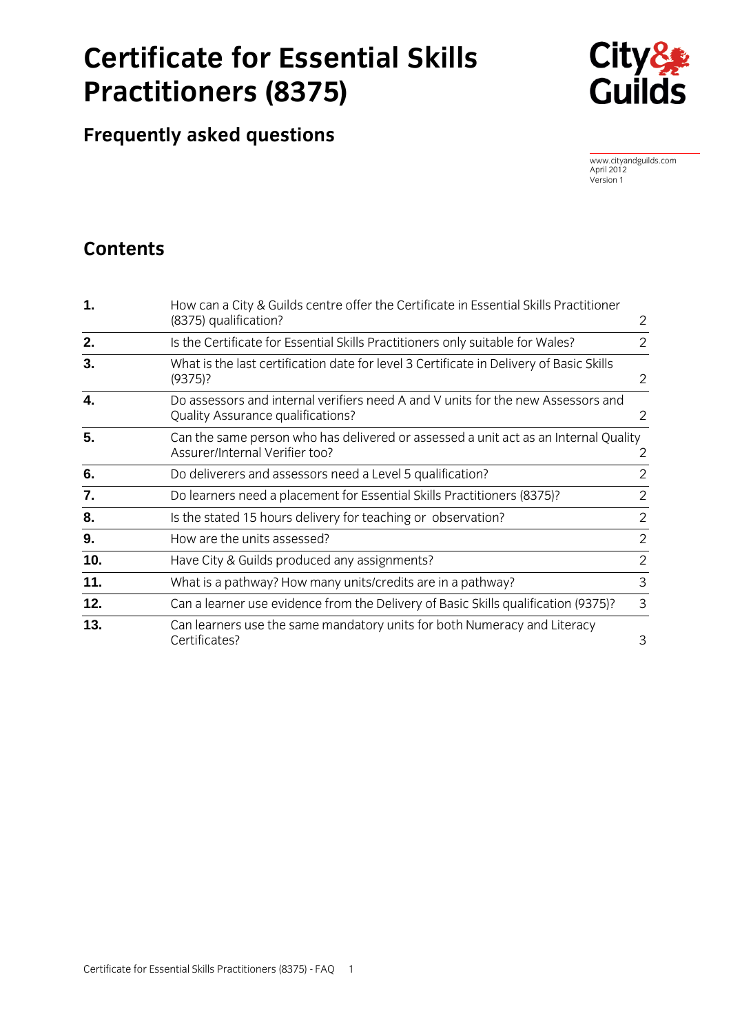# **Certificate for Essential Skills Practitioners (8375)**



**Frequently asked questions**

www.cityandguilds.com April 2012 Version 1

# **Contents**

| 1.  | How can a City & Guilds centre offer the Certificate in Essential Skills Practitioner<br>(8375) qualification?               | 2              |
|-----|------------------------------------------------------------------------------------------------------------------------------|----------------|
| 2.  | Is the Certificate for Essential Skills Practitioners only suitable for Wales?                                               | $\overline{2}$ |
| 3.  | What is the last certification date for level 3 Certificate in Delivery of Basic Skills<br>(9375)?                           | 2              |
| 4.  | Do assessors and internal verifiers need A and V units for the new Assessors and<br><b>Quality Assurance qualifications?</b> | 2              |
| 5.  | Can the same person who has delivered or assessed a unit act as an Internal Quality<br>Assurer/Internal Verifier too?        | 2              |
| 6.  | Do deliverers and assessors need a Level 5 qualification?                                                                    | 2              |
| 7.  | Do learners need a placement for Essential Skills Practitioners (8375)?                                                      | 2              |
| 8.  | Is the stated 15 hours delivery for teaching or observation?                                                                 | $\overline{2}$ |
| 9.  | How are the units assessed?                                                                                                  | $\overline{2}$ |
| 10. | Have City & Guilds produced any assignments?                                                                                 | $\overline{2}$ |
| 11. | What is a pathway? How many units/credits are in a pathway?                                                                  | $\overline{3}$ |
| 12. | Can a learner use evidence from the Delivery of Basic Skills qualification (9375)?                                           | $\mathsf{3}$   |
| 13. | Can learners use the same mandatory units for both Numeracy and Literacy<br>Certificates?                                    | 3              |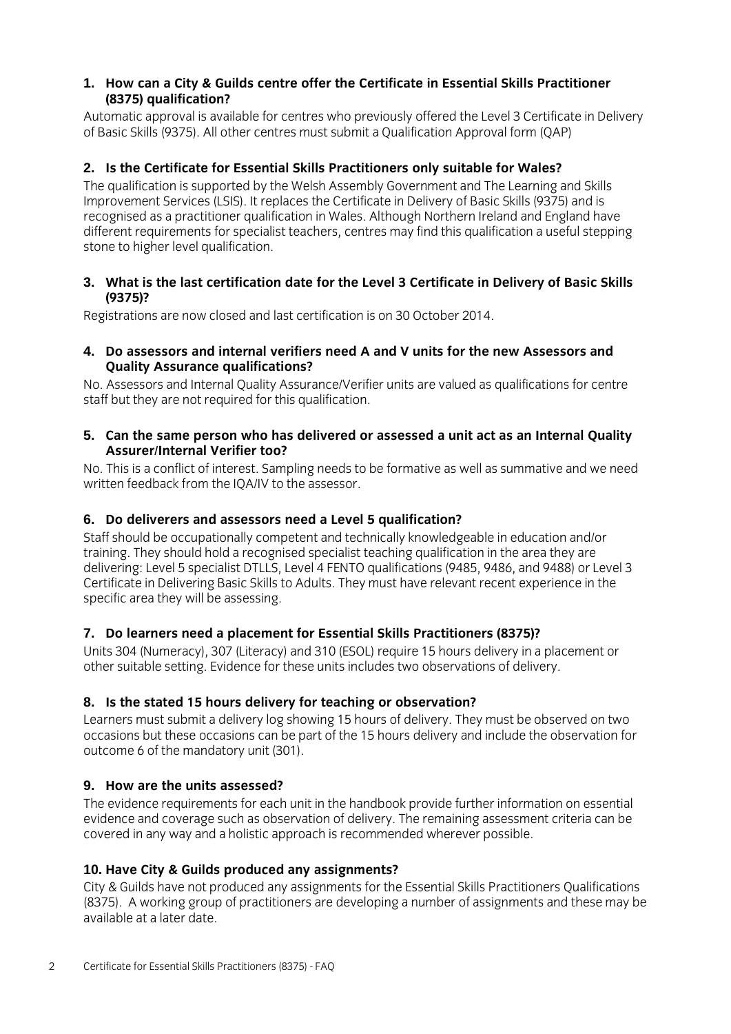#### **1. How can a City & Guilds centre offer the Certificate in Essential Skills Practitioner (8375) qualification?**

Automatic approval is available for centres who previously offered the Level 3 Certificate in Delivery of Basic Skills (9375). All other centres must submit a Qualification Approval form (QAP)

# **2. Is the Certificate for Essential Skills Practitioners only suitable for Wales?**

The qualification is supported by the Welsh Assembly Government and The Learning and Skills Improvement Services (LSIS). It replaces the Certificate in Delivery of Basic Skills (9375) and is recognised as a practitioner qualification in Wales. Although Northern Ireland and England have different requirements for specialist teachers, centres may find this qualification a useful stepping stone to higher level qualification.

#### **3. What is the last certification date for the Level 3 Certificate in Delivery of Basic Skills (9375)?**

Registrations are now closed and last certification is on 30 October 2014.

#### **4. Do assessors and internal verifiers need A and V units for the new Assessors and Quality Assurance qualifications?**

No. Assessors and Internal Quality Assurance/Verifier units are valued as qualifications for centre staff but they are not required for this qualification.

#### **5. Can the same person who has delivered or assessed a unit act as an Internal Quality Assurer/Internal Verifier too?**

No. This is a conflict of interest. Sampling needs to be formative as well as summative and we need written feedback from the IQA/IV to the assessor.

# **6. Do deliverers and assessors need a Level 5 qualification?**

Staff should be occupationally competent and technically knowledgeable in education and/or training. They should hold a recognised specialist teaching qualification in the area they are delivering: Level 5 specialist DTLLS, Level 4 FENTO qualifications (9485, 9486, and 9488) or Level 3 Certificate in Delivering Basic Skills to Adults. They must have relevant recent experience in the specific area they will be assessing.

# **7. Do learners need a placement for Essential Skills Practitioners (8375)?**

Units 304 (Numeracy), 307 (Literacy) and 310 (ESOL) require 15 hours delivery in a placement or other suitable setting. Evidence for these units includes two observations of delivery.

#### **8. Is the stated 15 hours delivery for teaching or observation?**

Learners must submit a delivery log showing 15 hours of delivery. They must be observed on two occasions but these occasions can be part of the 15 hours delivery and include the observation for outcome 6 of the mandatory unit (301).

# **9. How are the units assessed?**

The evidence requirements for each unit in the handbook provide further information on essential evidence and coverage such as observation of delivery. The remaining assessment criteria can be covered in any way and a holistic approach is recommended wherever possible.

# **10. Have City & Guilds produced any assignments?**

City & Guilds have not produced any assignments for the Essential Skills Practitioners Qualifications (8375). A working group of practitioners are developing a number of assignments and these may be available at a later date.